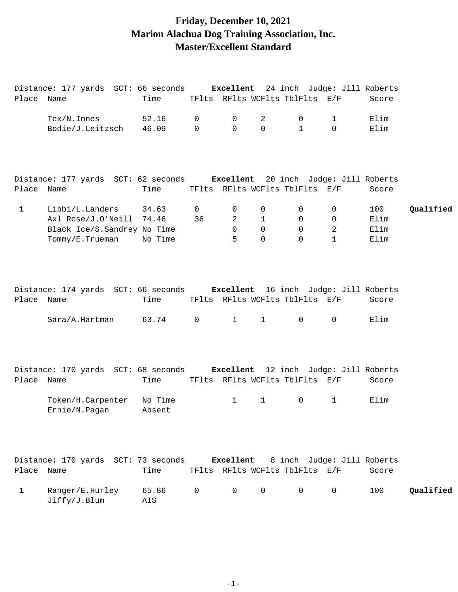# **Friday, December 10, 2021 Marion Alachua Dog Training Association, Inc. Master/Excellent Standard**

| Place Name   | Distance: 177 yards SCT: 66 seconds <b>Excellent</b> 24 inch Judge: Jill Roberts               | Time              |                  |                         |                                           | TFlts RFlts WCFlts TblFlts E/F                |                             | Score                       |           |
|--------------|------------------------------------------------------------------------------------------------|-------------------|------------------|-------------------------|-------------------------------------------|-----------------------------------------------|-----------------------------|-----------------------------|-----------|
|              | Tex/N. Innes<br>Bodie/J.Leitzsch                                                               | 52.16<br>46.09    | 0<br>$\mathbf 0$ | 0<br>$\Omega$           | 2<br>$\Omega$                             | 0<br>$\mathbf{1}$                             | 1<br>$\Omega$               | Elim<br>Elim                |           |
| Place Name   | Distance: 177 yards SCT: 62 seconds <b>Excellent</b> 20 inch Judge: Jill Roberts               | Time              |                  |                         |                                           | TFlts RFlts WCFlts TblFlts E/F                |                             | Score                       |           |
| $\mathbf{1}$ | Libbi/L.Landers<br>Axl Rose/J.O'Neill 74.46<br>Black Ice/S. Sandrey No Time<br>Tommy/E.Trueman | 34.63<br>No Time  | 0<br>36          | 0<br>2<br>$\Omega$<br>5 | 0<br>$\mathbf{1}$<br>$\Omega$<br>$\Omega$ | 0<br>0<br>$\mathbf 0$<br>$\Omega$             | 0<br>0<br>2<br>$\mathbf{1}$ | 100<br>Elim<br>Elim<br>Elim | Qualified |
| Place Name   | Distance: 174 yards SCT: 66 seconds Excellent 16 inch Judge: Jill Roberts<br>Sara/A.Hartman    | Time<br>63.74     | $\overline{0}$   | $\mathbf{1}$            | $\mathbf{1}$                              | TFlts RFlts WCFlts TblFlts E/F<br>$\mathbf 0$ | $\Omega$                    | Score<br>Elim               |           |
| Place        | Distance: 170 yards SCT: 68 seconds Excellent 12 inch Judge: Jill Roberts<br>Name              | Time              |                  |                         |                                           | TFlts RFlts WCFlts TblFlts E/F                |                             | Score                       |           |
|              | Token/H.Carpenter<br>Ernie/N.Pagan                                                             | No Time<br>Absent |                  | $\mathbf{1}$            | $\mathbf{1}$                              | 0                                             | $\mathbf 1$                 | Elim                        |           |
| Place Name   | Distance: 170 yards SCT: 73 seconds                                                            | Time              |                  | Excellent               |                                           | TFlts RFlts WCFlts TblFlts E/F                | 8 inch Judge: Jill Roberts  | Score                       |           |
| $\mathbf{1}$ | Ranger/E.Hurley<br>Jiffy/J.Blum                                                                | 65.86<br>AIS      | $\mathsf{O}$     | 0                       | $\mathbf 0$                               | $\overline{0}$                                | 0                           | 100                         | Qualified |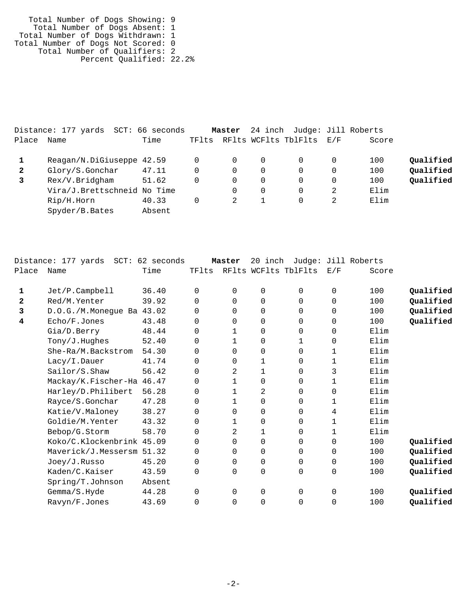Total Number of Dogs Showing: 9 Total Number of Dogs Absent: 1 Total Number of Dogs Withdrawn: 1 Total Number of Dogs Not Scored: 0 Total Number of Qualifiers: 2 Percent Qualified: 22.2%

|              | Distance: 177 yards<br>$\mathtt{SCT}$ : | 66 seconds |       | Master |          | 24 inch Judge: Jill Roberts |     |       |           |
|--------------|-----------------------------------------|------------|-------|--------|----------|-----------------------------|-----|-------|-----------|
| Place        | Name                                    | Time       | TFlts |        |          | RFlts WCFlts TblFlts        | E/F | Score |           |
|              | Reagan/N.DiGiuseppe 42.59               |            |       | 0      | $\Omega$ |                             | 0   | 100   | Qualified |
| $\mathbf{2}$ | Glory/S.Gonchar                         | 47.11      |       | 0      | 0        |                             | 0   | 100   | Qualified |
|              | Rex/V.Bridgham                          | 51.62      |       | 0      | 0        |                             | 0   | 100   | Qualified |
|              | Vira/J.Brettschneid No Time             |            |       |        | $\Omega$ |                             | 2   | Elim  |           |
|              | Rip/H.Horn                              | 40.33      |       |        |          |                             |     | Elim  |           |
|              | Spyder/B.Bates                          | Absent     |       |        |          |                             |     |       |           |
|              |                                         |            |       |        |          |                             |     |       |           |

|              | Distance: 177 yards SCT: 62 seconds |        |             | Master       | 20 inch  |                      |              | Judge: Jill Roberts |           |
|--------------|-------------------------------------|--------|-------------|--------------|----------|----------------------|--------------|---------------------|-----------|
| Place        | Name                                | Time   | TFlts       |              |          | RFlts WCFlts TblFlts | E/F          | Score               |           |
|              |                                     | 36.40  | $\Omega$    |              |          | $\Omega$             | $\mathbf 0$  | 100                 |           |
| 1            | Jet/P.Campbell                      |        |             | 0            | 0        |                      |              |                     | Qualified |
| $\mathbf{2}$ | Red/M.Yenter                        | 39.92  | $\Omega$    | $\Omega$     | 0        | 0                    | $\Omega$     | 100                 | Qualified |
| 3            | D.O.G. / M.Moneque Ba 43.02         |        | $\Omega$    | $\Omega$     | 0        | 0                    | $\mathbf 0$  | 100                 | Qualified |
| 4            | Echo/F.Jones                        | 43.48  | $\Omega$    | $\Omega$     | $\Omega$ | 0                    | $\Omega$     | 100                 | Qualified |
|              | Gia/D.Berry                         | 48.44  | 0           | $\mathbf 1$  | 0        | $\Omega$             | 0            | Elim                |           |
|              | Tony/J.Huqhes                       | 52.40  | $\Omega$    | $\mathbf{1}$ | $\Omega$ | $\mathbf{1}$         | $\mathbf 0$  | Elim                |           |
|              | She-Ra/M.Backstrom                  | 54.30  | 0           | $\Omega$     | 0        | 0                    | 1            | Elim                |           |
|              | Lacy/I.Dauer                        | 41.74  | $\Omega$    | $\Omega$     | 1        | 0                    | $\mathbf{1}$ | Elim                |           |
|              | Sailor/S.Shaw                       | 56.42  | $\Omega$    | 2            | 1        | 0                    | 3            | Elim                |           |
|              | Mackay/K.Fischer-Ha 46.47           |        | $\Omega$    | $\mathbf 1$  | 0        | 0                    | $\mathbf 1$  | Elim                |           |
|              | Harley/D.Philibert                  | 56.28  | 0           | $\mathbf 1$  | 2        | 0                    | 0            | Elim                |           |
|              | Rayce/S.Gonchar                     | 47.28  | $\Omega$    | $\mathbf{1}$ | 0        | $\Omega$             | $\mathbf{1}$ | Elim                |           |
|              | Katie/V.Maloney                     | 38.27  | $\mathbf 0$ | $\Omega$     | 0        | $\Omega$             | 4            | Elim                |           |
|              | Goldie/M.Yenter                     | 43.32  | $\Omega$    | $\mathbf{1}$ | 0        | $\Omega$             | $\mathbf{1}$ | Elim                |           |
|              | Bebop/G.Storm                       | 58.70  | 0           | 2            | 1        | 0                    | 1            | Elim                |           |
|              | Koko/C.Klockenbrink 45.09           |        | 0           | $\mathbf 0$  | 0        | 0                    | $\mathbf 0$  | 100                 | Qualified |
|              | Maverick/J.Messersm 51.32           |        | 0           | $\mathbf 0$  | 0        | 0                    | $\mathbf 0$  | 100                 | Qualified |
|              | Joey/J.Russo                        | 45.20  | 0           | $\mathbf 0$  | 0        | $\Omega$             | $\mathbf 0$  | 100                 | Qualified |
|              | Kaden/C.Kaiser                      | 43.59  | 0           | 0            | 0        | 0                    | $\mathbf 0$  | 100                 | Qualified |
|              | Spring/T.Johnson                    | Absent |             |              |          |                      |              |                     |           |
|              | Gemma/S.Hyde                        | 44.28  | 0           | 0            | 0        | 0                    | 0            | 100                 | Qualified |
|              | Ravyn/F.Jones                       | 43.69  | 0           | $\Omega$     | 0        | 0                    | $\mathbf 0$  | 100                 | Qualified |
|              |                                     |        |             |              |          |                      |              |                     |           |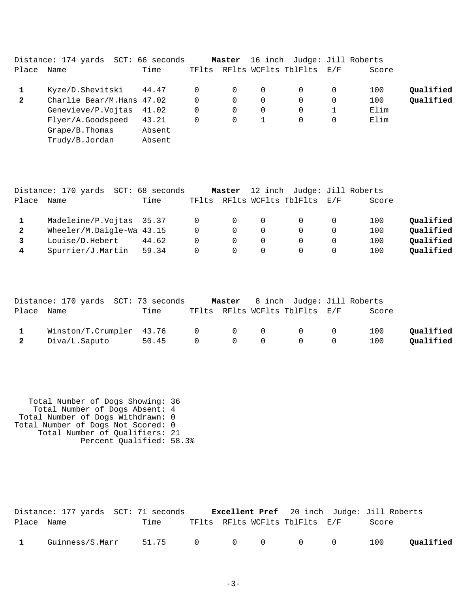|              | Distance: 174 yards SCT: 66 seconds |                  |          | Master   |          | 16 inch Judge: Jill Roberts    |          |       |           |
|--------------|-------------------------------------|------------------|----------|----------|----------|--------------------------------|----------|-------|-----------|
| Place        | Name                                | Time             |          |          |          | TFlts RFlts WCFlts TblFlts E/F |          | Score |           |
|              | Kyze/D.Shevitski                    | 44.47            | 0        | 0        | $\Omega$ |                                | $\Omega$ | 100   | Qualified |
| $\mathbf{2}$ | Charlie Bear/M.Hans 47.02           |                  | $\Omega$ | 0        | 0        | 0                              | 0        | 100   | Qualified |
|              | Genevieve/P.Vojtas 41.02            |                  | 0        | 0        | 0        | $\Omega$                       |          | Elim  |           |
|              | Flyer/A.Goodspeed                   | 43.21            | 0        | $\Omega$ |          | $\Omega$                       | 0        | Elim  |           |
|              | Grape/B.Thomas<br>Trudy/B.Jordan    | Absent<br>Absent |          |          |          |                                |          |       |           |

|              | Distance: 170 yards       | SCT: 68 seconds |          | Master         |          | 12 inch Judge: Jill Roberts |          |       |           |
|--------------|---------------------------|-----------------|----------|----------------|----------|-----------------------------|----------|-------|-----------|
| Place        | Name                      | Time            | TFlts    |                |          | RFlts WCFlts TblFlts        | E/F      | Score |           |
|              | Madeleine/P.Vojtas 35.37  |                 | $\Omega$ | $\overline{0}$ | $\Omega$ | $\Omega$                    |          | 100   | Qualified |
| $\mathbf{2}$ | Wheeler/M.Daigle-Wa 43.15 |                 | $\Omega$ | $\Omega$       | $\Omega$ | $\Omega$                    |          | 100   | Qualified |
|              | Louise/D.Hebert           | 44.62           | $\Omega$ | $\Omega$       | $\Omega$ | $\Omega$                    | $\Omega$ | 100   | Qualified |
| 4            | Spurrier/J.Martin         | 59.34           | $\Omega$ | $\Omega$       | $\Omega$ |                             | $\Omega$ | 100   | Qualified |

|                         | Distance: 170 yards SCT: 73 seconds   |         |                                            | <b>Master</b> 8 inch Judge: Jill Roberts |                |       |           |
|-------------------------|---------------------------------------|---------|--------------------------------------------|------------------------------------------|----------------|-------|-----------|
| Place Name              |                                       | Time    |                                            | TFlts RFlts WCFlts TblFlts E/F           |                | Score |           |
|                         | $Winstein/T.Crumpler$ 43.76 0 0 0 0 0 |         |                                            |                                          |                | 100   | Oualified |
| $\overline{\mathbf{2}}$ | Diva/L.Saputo                         | 50.45 0 | $\begin{array}{ccc} & & & 0 & \end{array}$ | $\overline{0}$                           | $\overline{0}$ | 100   | Oualified |

 Total Number of Dogs Showing: 36 Total Number of Dogs Absent: 4 Total Number of Dogs Withdrawn: 0 Total Number of Dogs Not Scored: 0 Total Number of Qualifiers: 21 Percent Qualified: 58.3%

|              | Distance: 177 yards SCT: 71 seconds |                     |  | <b>Excellent Pref</b> 20 inch Judge: Jill Roberts |       |           |
|--------------|-------------------------------------|---------------------|--|---------------------------------------------------|-------|-----------|
| Place Name   |                                     | Time                |  | TFlts RFlts WCFlts TblFlts E/F                    | Score |           |
| $\mathbf{1}$ | Guinness/S.Marr                     | 51.75 0 0 0 0 0 100 |  |                                                   |       | Qualified |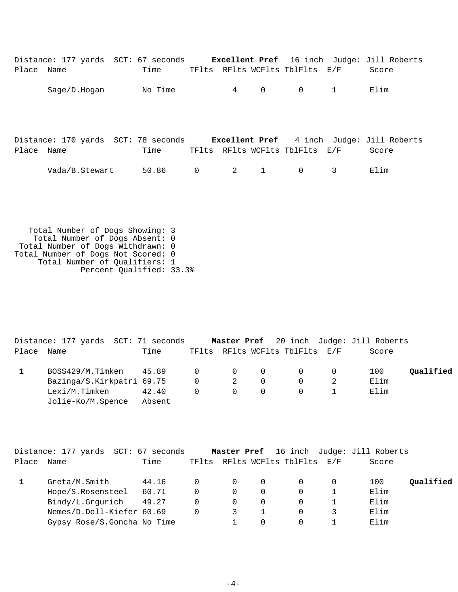|            | Distance: 177 yards SCT: 67 seconds Excellent Pref 16 inch Judge: Jill Roberts |         |   |                                   |              |                                |   |                                                           |
|------------|--------------------------------------------------------------------------------|---------|---|-----------------------------------|--------------|--------------------------------|---|-----------------------------------------------------------|
| Place Name |                                                                                | Time    |   |                                   |              | TFlts RFlts WCFlts TblFlts E/F |   | Score                                                     |
|            | Sage/D.Hogan                                                                   | No Time |   | $\overline{4}$                    | $\mathbf 0$  | $\mathbf 0$                    | 1 | Elim                                                      |
| Place Name | Distance: 170 yards SCT: 78 seconds                                            | Time    |   |                                   |              | TFlts RFlts WCFlts TblFlts E/F |   | <b>Excellent Pref</b> 4 inch Judge: Jill Roberts<br>Score |
|            | Vada/B.Stewart                                                                 | 50.86   | 0 | $\overline{2}$ and $\overline{2}$ | $\mathbf{1}$ | $\mathbf 0$                    | 3 | Elim                                                      |
|            |                                                                                |         |   |                                   |              |                                |   |                                                           |

 Total Number of Dogs Showing: 3 Total Number of Dogs Absent: 0 Total Number of Dogs Withdrawn: 0 Total Number of Dogs Not Scored: 0 Total Number of Qualifiers: 1 Percent Qualified: 33.3%

|            | Distance: 177 yards SCT: 71 seconds |        |                   |                                        |          |                                | Master Pref 20 inch Judge: Jill Roberts |           |
|------------|-------------------------------------|--------|-------------------|----------------------------------------|----------|--------------------------------|-----------------------------------------|-----------|
| Place Name |                                     | Time   |                   |                                        |          | TFlts RFlts WCFlts TblFlts E/F | Score                                   |           |
|            |                                     |        |                   |                                        |          |                                | 100                                     | Qualified |
|            | Bazinga/S.Kirkpatri 69.75           |        |                   | $\begin{array}{ccc} 0 & 2 \end{array}$ | $\Omega$ | $\overline{0}$                 | Elim                                    |           |
|            | Lexi/M.Timken                       | 42.40  | $0 \qquad \qquad$ | $\overline{0}$                         | $\Omega$ | $\overline{0}$                 | Elim                                    |           |
|            | Jolie-Ko/M.Spence                   | Absent |                   |                                        |          |                                |                                         |           |

|       | Distance: 177 yards SCT: 67 seconds |       |          | Master Pref |          |                                | 16 inch Judge: Jill Roberts |           |
|-------|-------------------------------------|-------|----------|-------------|----------|--------------------------------|-----------------------------|-----------|
| Place | Name                                | Time  |          |             |          | TFlts RFlts WCFlts TblFlts E/F | Score                       |           |
|       | Greta/M.Smith                       | 44.16 | $\Omega$ |             | $\Omega$ |                                | 100                         | Qualified |
|       | Hope/S.Rosensteel                   | 60.71 | 0        | 0           | $\Omega$ |                                | Elim                        |           |
|       | Bindy/L.Grgurich                    | 49.27 | 0        | $\Omega$    | $\Omega$ |                                | Elim                        |           |
|       | Nemes/D.Doll-Kiefer 60.69           |       | $\Omega$ |             |          |                                | Elim                        |           |
|       | Gypsy Rose/S.Goncha No Time         |       |          |             |          |                                | Elim                        |           |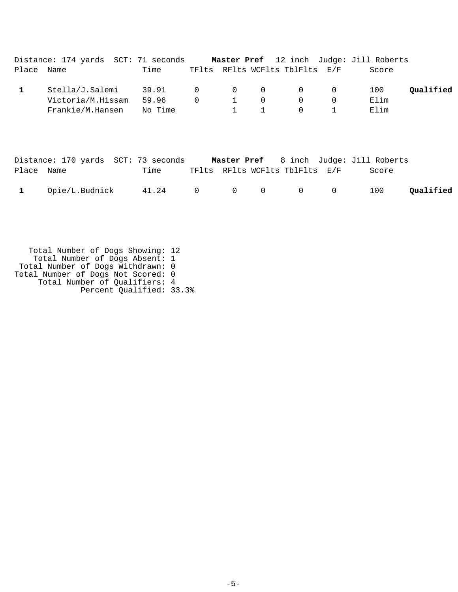|            | Distance: 174 yards SCT: 71 seconds |             |                |              |             |                                |          | <b>Master Pref</b> 12 inch Judge: Jill Roberts |           |
|------------|-------------------------------------|-------------|----------------|--------------|-------------|--------------------------------|----------|------------------------------------------------|-----------|
| Place Name |                                     | Time        |                |              |             | TFlts RFlts WCFlts TblFlts E/F |          | Score                                          |           |
|            | Stella/J.Salemi                     | 39.91 0 0 0 |                |              |             | $\overline{0}$                 | - 0      | 100                                            | Oualified |
|            | Victoria/M.Hissam                   | 59.96       | $\overline{0}$ | $\mathbf{1}$ | $\Omega$    | $\Omega$                       | $\Omega$ | Elim                                           |           |
|            | Frankie/M.Hansen                    | No Time     |                |              | $1 \quad 1$ | $\Omega$                       |          | Elim                                           |           |
|            |                                     |             |                |              |             |                                |          |                                                |           |
|            |                                     |             |                |              |             |                                |          |                                                |           |

|              | Distance: 170 yards SCT: 73 seconds              |                                |  | <b>Master Pref</b> 8 inch Judge: Jill Roberts |           |
|--------------|--------------------------------------------------|--------------------------------|--|-----------------------------------------------|-----------|
| Place Name   | Time                                             | TFlts RFlts WCFlts TblFlts E/F |  | Score                                         |           |
| $\mathbf{1}$ | Opie/L.Budnick    41.24    0    0    0    0    0 |                                |  | 100                                           | Qualified |

 Total Number of Dogs Showing: 12 Total Number of Dogs Absent: 1 Total Number of Dogs Withdrawn: 0 Total Number of Dogs Not Scored: 0 Total Number of Qualifiers: 4 Percent Qualified: 33.3%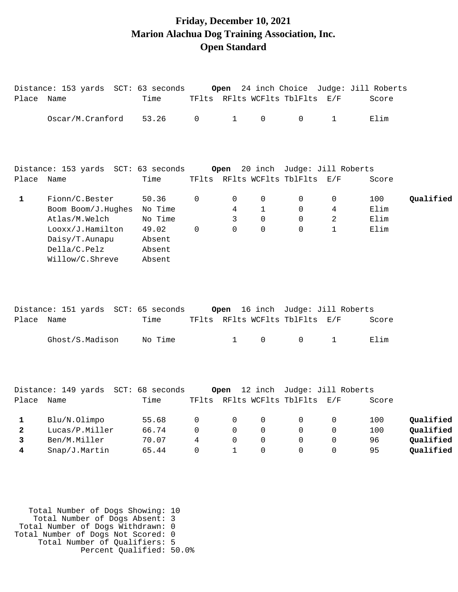### **Friday, December 10, 2021 Marion Alachua Dog Training Association, Inc. Open Standard**

|                             | Distance: 153 yards SCT: 63 seconds                                                                                            |                                                                    |                                   | Open                                                      |                                                   |                                                               |                                          | 24 inch Choice Judge: Jill Roberts |                                                  |
|-----------------------------|--------------------------------------------------------------------------------------------------------------------------------|--------------------------------------------------------------------|-----------------------------------|-----------------------------------------------------------|---------------------------------------------------|---------------------------------------------------------------|------------------------------------------|------------------------------------|--------------------------------------------------|
| Place Name                  |                                                                                                                                | Time                                                               |                                   |                                                           |                                                   | TFlts RFlts WCFlts TblFlts E/F                                |                                          | Score                              |                                                  |
|                             | Oscar/M.Cranford                                                                                                               | 53.26                                                              | 0                                 | $\mathbf{1}$                                              | $\mathsf{O}$                                      | $\mathbf 0$                                                   | $\mathbf{1}$                             | Elim                               |                                                  |
|                             | Distance: 153 yards SCT: 63 seconds                                                                                            |                                                                    |                                   | Open                                                      |                                                   | 20 inch Judge: Jill Roberts                                   |                                          |                                    |                                                  |
| Place Name                  |                                                                                                                                | Time                                                               |                                   |                                                           |                                                   | TFlts RFlts WCFlts TblFlts E/F                                |                                          | Score                              |                                                  |
| $\mathbf{1}$                | Fionn/C.Bester<br>Boom Boom/J.Hughes<br>Atlas/M.Welch<br>Looxx/J.Hamilton<br>Daisy/T.Aunapu<br>Della/C.Pelz<br>Willow/C.Shreve | 50.36<br>No Time<br>No Time<br>49.02<br>Absent<br>Absent<br>Absent | $\mathbf 0$<br>0                  | $\mathbf 0$<br>4<br>3<br>$\Omega$                         | 0<br>$\mathbf{1}$<br>$\mathbf 0$<br>$\mathbf 0$   | 0<br>0<br>$\Omega$<br>$\Omega$                                | 0<br>4<br>$\overline{2}$<br>$\mathbf{1}$ | 100<br>Elim<br>Elim<br>Elim        | Qualified                                        |
| Place Name                  | Distance: 151 yards SCT: 65 seconds                                                                                            | Time                                                               |                                   | Open                                                      |                                                   | 16 inch Judge: Jill Roberts<br>TFlts RFlts WCFlts TblFlts E/F |                                          | Score                              |                                                  |
|                             | Ghost/S.Madison                                                                                                                | No Time                                                            |                                   | $\mathbf{1}$                                              | 0                                                 | 0                                                             | $\mathbf{1}$                             | Elim                               |                                                  |
| Place Name                  | Distance: 149 yards SCT: 68 seconds                                                                                            | Time                                                               |                                   | Open                                                      |                                                   | 12 inch Judge: Jill Roberts<br>TFlts RFlts WCFlts TblFlts E/F |                                          | Score                              |                                                  |
| 1<br>$\mathbf{2}$<br>3<br>4 | Blu/N.Olimpo<br>Lucas/P.Miller<br>Ben/M.Miller<br>Snap/J.Martin                                                                | 55.68<br>66.74<br>70.07<br>65.44                                   | 0<br>$\mathbf 0$<br>4<br>$\Omega$ | $\mathbf 0$<br>$\mathbf 0$<br>$\mathbf 0$<br>$\mathbf{1}$ | 0<br>$\mathbf 0$<br>$\mathbf 0$<br>$\overline{0}$ | 0<br>0<br>0<br>$\Omega$                                       | 0<br>0<br>0<br>$\Omega$                  | 100<br>100<br>96<br>95             | Qualified<br>Qualified<br>Qualified<br>Qualified |
|                             |                                                                                                                                |                                                                    |                                   |                                                           |                                                   |                                                               |                                          |                                    |                                                  |

 Total Number of Dogs Showing: 10 Total Number of Dogs Absent: 3 Total Number of Dogs Withdrawn: 0 Total Number of Dogs Not Scored: 0 Total Number of Qualifiers: 5 Percent Qualified: 50.0%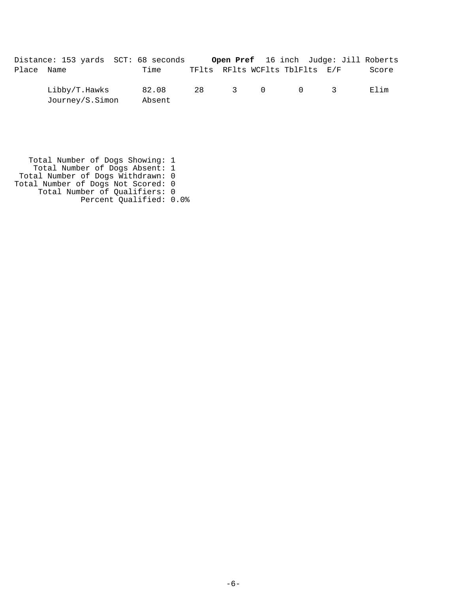| Distance: 153 yards SCT: 68 seconds |      |                                | Open Pref 16 inch Judge: Jill Roberts |       |
|-------------------------------------|------|--------------------------------|---------------------------------------|-------|
| Place Name                          | Time | TFlts RFlts WCFlts TblFlts E/F |                                       | Score |

 Libby/T.Hawks 82.08 28 3 0 0 3 Elim Journey/S.Simon Absent

 Total Number of Dogs Showing: 1 Total Number of Dogs Absent: 1 Total Number of Dogs Withdrawn: 0 Total Number of Dogs Not Scored: 0 Total Number of Qualifiers: 0 Percent Qualified: 0.0%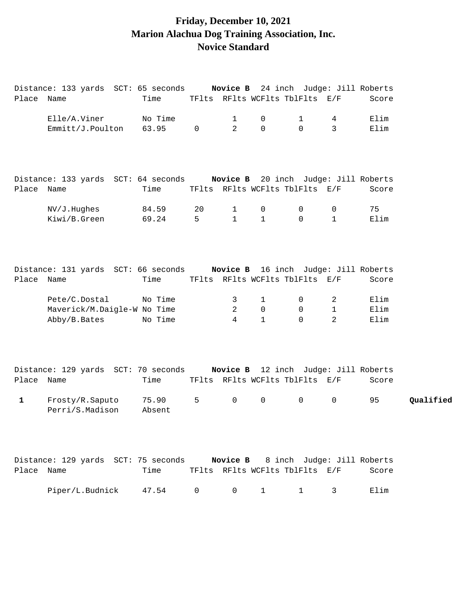# **Friday, December 10, 2021 Marion Alachua Dog Training Association, Inc. Novice Standard**

|            | Distance: 133 yards  SCT: 65 seconds                                     |                 |             | <b>Novice B</b> 24 inch Judge: Jill Roberts |                            |              |                  |              |           |
|------------|--------------------------------------------------------------------------|-----------------|-------------|---------------------------------------------|----------------------------|--------------|------------------|--------------|-----------|
| Place Name |                                                                          | Time            |             | TFlts RFlts WCFlts TblFlts E/F              |                            |              |                  | Score        |           |
|            | Elle/A.Viner                                                             | No Time         |             | 1                                           | 0                          | $\mathbf{1}$ | 4                | Elim         |           |
|            | Emmitt/J.Poulton                                                         | 63.95           | $\mathbf 0$ | 2                                           | $\Omega$                   | $\Omega$     | $\mathbf{3}$     | Elim         |           |
|            | Distance: 133 yards SCT: 64 seconds Novice B 20 inch Judge: Jill Roberts |                 |             |                                             |                            |              |                  |              |           |
| Place Name |                                                                          | Time            |             | TFlts RFlts WCFlts TblFlts E/F              |                            |              |                  | Score        |           |
|            | NV/J.Hughes                                                              | 84.59           | 20          | $\mathbf{1}$                                | 0                          | 0            | 0                | 75           |           |
|            | Kiwi/B.Green                                                             | 69.24           | 5           | $\mathbf{1}$                                | $\mathbf{1}$               | $\Omega$     | $\mathbf{1}$     | Elim         |           |
| Place Name | Distance: 131 yards SCT: 66 seconds Novice B 16 inch Judge: Jill Roberts | Time            |             | TFlts RFlts WCFlts TblFlts E/F              |                            |              |                  | Score        |           |
|            |                                                                          |                 |             |                                             |                            |              |                  |              |           |
|            | Pete/C.Dostal<br>Maverick/M.Daigle-W No Time                             | No Time         |             | 3<br>2                                      | $\mathbf 1$<br>$\mathbf 0$ | 0<br>0       | 2<br>$\mathbf 1$ | Elim<br>Elim |           |
|            | Abby/B.Bates                                                             | No Time         |             | 4                                           | $\mathbf{1}$               | $\Omega$     | 2                | Elim         |           |
| Place Name | Distance: 129 yards SCT: 70 seconds Novice B 12 inch Judge: Jill Roberts | Time            |             | TFlts RFlts WCFlts TblFlts E/F              |                            |              |                  | Score        |           |
| 1          | Frosty/R.Saputo<br>Perri/S.Madison                                       | 75.90<br>Absent | 5           | $\overline{0}$                              | $\mathsf{O}\xspace$        | $\mathsf{O}$ | 0                | 95           | Qualified |
| Place Name | Distance: 129 yards SCT: 75 seconds Novice B 8 inch Judge: Jill Roberts  | Time            |             | TFlts RFlts WCFlts TblFlts E/F              |                            |              |                  | Score        |           |
|            | Piper/L.Budnick                                                          | 47.54           | 0           | $\mathsf{O}$                                | $\mathbf{1}$               | $\mathbf{1}$ | 3                | Elim         |           |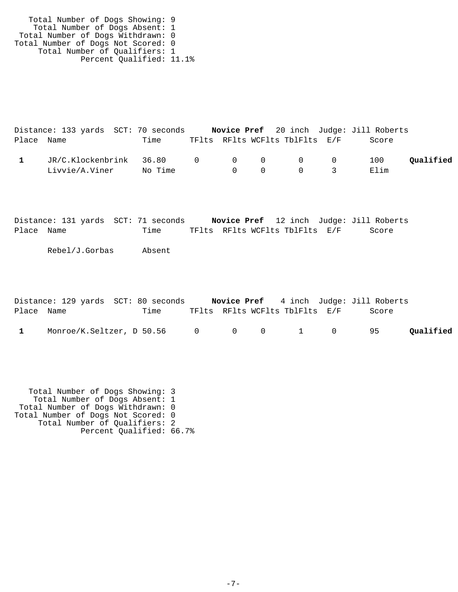Total Number of Dogs Showing: 9 Total Number of Dogs Absent: 1 Total Number of Dogs Withdrawn: 0 Total Number of Dogs Not Scored: 0 Total Number of Qualifiers: 1 Percent Qualified: 11.1%

|            | Distance: 133 yards SCT: 70 seconds |         |  |                                     |                                | Novice Pref 20 inch Judge: Jill Roberts |           |
|------------|-------------------------------------|---------|--|-------------------------------------|--------------------------------|-----------------------------------------|-----------|
| Place Name |                                     | Time    |  |                                     | TFlts RFlts WCFlts TblFlts E/F | Score                                   |           |
|            | JR/C.Klockenbrink 36.80 0 0 0 0 0 0 |         |  |                                     |                                | 100                                     | Qualified |
|            | Livvie/A.Viner                      | No Time |  | $\begin{matrix} 0 & 0 \end{matrix}$ | $\overline{0}$                 | Elim                                    |           |

Distance: 131 yards SCT: 71 seconds **Novice Pref** 12 inch Judge: Jill Roberts Place Name Time TFlts RFlts WCFlts TblFlts E/F Score

Rebel/J.Gorbas Absent

|            | Distance: 129 yards SCT: 80 seconds |      |  |                                | <b>Novice Pref</b> 4 inch Judge: Jill Roberts |           |
|------------|-------------------------------------|------|--|--------------------------------|-----------------------------------------------|-----------|
| Place Name |                                     | Time |  | TFlts RFlts WCFlts TblFlts E/F | Score                                         |           |
|            | Monroe/K.Seltzer, D 50.56 0 0 0 1 0 |      |  |                                | 95                                            | Qualified |

 Total Number of Dogs Showing: 3 Total Number of Dogs Absent: 1 Total Number of Dogs Withdrawn: 0 Total Number of Dogs Not Scored: 0 Total Number of Qualifiers: 2 Percent Qualified: 66.7%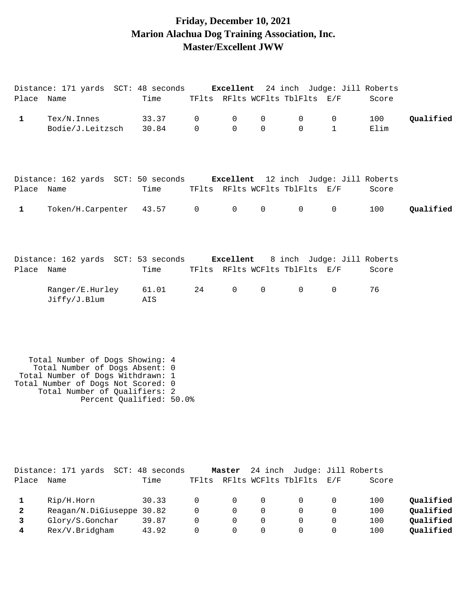### **Friday, December 10, 2021 Marion Alachua Dog Training Association, Inc. Master/Excellent JWW**

Distance: 171 yards SCT: 48 seconds **Excellent** 24 inch Judge: Jill Roberts Place Name Time TFlts RFlts WCFlts TblFlts E/F Score

| $\mathbf{1}$                                                | Tex/N. Innes<br>Bodie/J.Leitzsch                                                                                                                                                                          | 33.37<br>30.84          | 0<br>$\Omega$                  | 0<br>$\Omega$                            | 0<br>$\Omega$                               | $\mathbf 0$<br>$\Omega$                                      | 0<br>$\mathbf{1}$                                        | 100<br>Elim              | Qualified                                        |
|-------------------------------------------------------------|-----------------------------------------------------------------------------------------------------------------------------------------------------------------------------------------------------------|-------------------------|--------------------------------|------------------------------------------|---------------------------------------------|--------------------------------------------------------------|----------------------------------------------------------|--------------------------|--------------------------------------------------|
| Place Name                                                  | Distance: 162 yards SCT: 50 seconds Excellent 12 inch Judge: Jill Roberts                                                                                                                                 | Time                    |                                |                                          |                                             | TFlts RFlts WCFlts TblFlts E/F                               |                                                          | Score                    |                                                  |
| $\mathbf{1}$                                                | Token/H.Carpenter                                                                                                                                                                                         | 43.57                   | $\mathsf{O}$                   | $\mathsf{O}$                             | $\mathsf{O}$                                | 0                                                            | 0                                                        | 100                      | Qualified                                        |
| Place Name                                                  | Distance: 162 yards SCT: 53 seconds Excellent                                                                                                                                                             | Time                    |                                |                                          |                                             | 8 inch Judge: Jill Roberts<br>TFlts RFlts WCFlts TblFlts E/F |                                                          | Score                    |                                                  |
|                                                             | Ranger/E.Hurley<br>Jiffy/J.Blum                                                                                                                                                                           | 61.01<br>AIS            | 24                             | $\mathsf{O}$                             | $\mathsf{O}$                                | 0                                                            | $\mathbf 0$                                              | 76                       |                                                  |
|                                                             | Total Number of Dogs Showing: 4<br>Total Number of Dogs Absent: 0<br>Total Number of Dogs Withdrawn: 1<br>Total Number of Dogs Not Scored: 0<br>Total Number of Qualifiers: 2<br>Percent Qualified: 50.0% |                         |                                |                                          |                                             |                                                              |                                                          |                          |                                                  |
| Place Name                                                  | Distance: 171 yards SCT: 48 seconds                                                                                                                                                                       | Time                    |                                | Master                                   |                                             | 24 inch Judge: Jill Roberts<br>TFlts RFlts WCFlts TblFlts    | E/F                                                      | Score                    |                                                  |
| $\mathbf 1$<br>$\mathbf{2}$<br>3<br>$\overline{\mathbf{4}}$ | Rip/H.Horn<br>Reagan/N.DiGiuseppe 30.82<br>Glory/S.Gonchar<br>Rex/V.Bridgham                                                                                                                              | 30.33<br>39.87<br>43.92 | 0<br>0<br>$\Omega$<br>$\Omega$ | 0<br>$\mathbf 0$<br>$\Omega$<br>$\Omega$ | 0<br>$\mathbf 0$<br>$\mathbf 0$<br>$\Omega$ | $\Omega$<br>$\mathbf 0$<br>$\mathbf 0$<br>$\Omega$           | $\mathbf 0$<br>$\mathbf 0$<br>$\mathbf 0$<br>$\mathbf 0$ | 100<br>100<br>100<br>100 | Qualified<br>Qualified<br>Qualified<br>Qualified |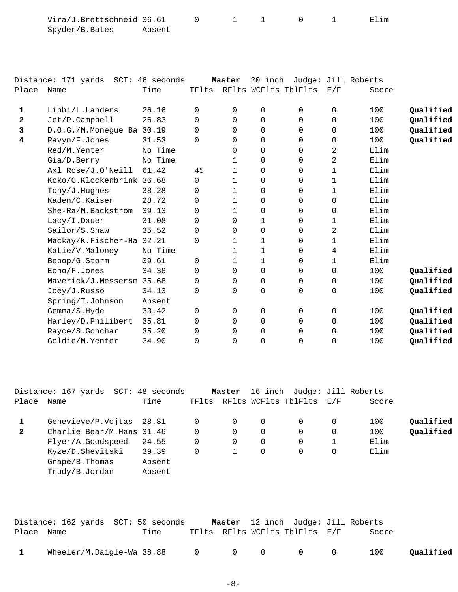| Vira/J.Brettschneid 36.61 |        |  |  | Elim |
|---------------------------|--------|--|--|------|
| Spyder/B.Bates            | Absent |  |  |      |

|              | Distance: 171 yards SCT: 46 seconds |         |          | Master         | 20 inch     |                      |             | Judge: Jill Roberts |           |
|--------------|-------------------------------------|---------|----------|----------------|-------------|----------------------|-------------|---------------------|-----------|
| Place        | Name                                | Time    | TFlts    |                |             | RFlts WCFlts TblFlts | E/F         | Score               |           |
| 1            | Libbi/L.Landers                     | 26.16   | 0        | 0              | $\mathbf 0$ | $\Omega$             | 0           | 100                 | Qualified |
| $\mathbf{z}$ | Jet/P.Campbell                      | 26.83   | 0        | 0              | 0           | $\Omega$             | 0           | 100                 | Qualified |
| 3            | D.O.G./M.Monegue Ba 30.19           |         | $\Omega$ | $\Omega$       | $\mathbf 0$ | $\Omega$             | $\Omega$    | 100                 | Qualified |
| 4            | Ravyn/F.Jones                       | 31.53   | 0        | $\Omega$       | $\Omega$    | $\Omega$             | $\Omega$    | 100                 | Qualified |
|              | Red/M.Yenter                        | No Time |          | 0              | $\mathbf 0$ | $\mathbf 0$          | 2           | Elim                |           |
|              | Gia/D.Berry                         | No Time |          | $\mathbf{1}$   | 0           | $\mathbf 0$          | 2           | Elim                |           |
|              | Axl Rose/J.O'Neill                  | 61.42   | 45       | $\mathbf{1}$   | 0           | $\Omega$             | 1           | Elim                |           |
|              | Koko/C.Klockenbrink 36.68           |         | 0        | $\mathbf{1}$   | 0           | $\Omega$             | 1           | Elim                |           |
|              | Tony/J.Huqhes                       | 38.28   | 0        | 1              | $\mathbf 0$ | $\Omega$             | 1           | Elim                |           |
|              | Kaden/C.Kaiser                      | 28.72   | 0        | $\mathbf{1}$   | 0           | $\Omega$             | $\Omega$    | Elim                |           |
|              | She-Ra/M.Backstrom                  | 39.13   | 0        | 1              | 0           | 0                    | 0           | Elim                |           |
|              | Lacy/I.Dauer                        | 31.08   | 0        | $\Omega$       | 1           | $\Omega$             | 1           | Elim                |           |
|              | Sailor/S.Shaw                       | 35.52   | 0        | $\Omega$       | 0           | $\Omega$             | 2           | Elim                |           |
|              | Mackay/K.Fischer-Ha 32.21           |         | 0        | $\mathbf{1}$   | 1           | $\Omega$             | 1           | Elim                |           |
|              | Katie/V.Maloney                     | No Time |          | $\mathbf 1$    | $\mathbf 1$ | $\Omega$             | 4           | Elim                |           |
|              | Bebop/G.Storm                       | 39.61   | 0        | 1              | 1           | 0                    | 1           | Elim                |           |
|              | Echo/F.Jones                        | 34.38   | 0        | $\Omega$       | $\mathbf 0$ | $\Omega$             | $\Omega$    | 100                 | Qualified |
|              | Maverick/J.Messersm 35.68           |         | 0        | $\Omega$       | 0           | $\Omega$             | $\mathbf 0$ | 100                 | Qualified |
|              | Joey/J.Russo                        | 34.13   | 0        | $\overline{0}$ | 0           | $\Omega$             | $\mathbf 0$ | 100                 | Qualified |
|              | Spring/T.Johnson                    | Absent  |          |                |             |                      |             |                     |           |
|              | Gemma/S.Hyde                        | 33.42   | 0        | 0              | 0           | 0                    | 0           | 100                 | Qualified |
|              | Harley/D.Philibert                  | 35.81   | 0        | $\Omega$       | $\mathbf 0$ | $\Omega$             | $\Omega$    | 100                 | Qualified |
|              | Rayce/S.Gonchar                     | 35.20   | 0        | $\Omega$       | $\mathbf 0$ | $\Omega$             | $\Omega$    | 100                 | Qualified |
|              | Goldie/M.Yenter                     | 34.90   | 0        | $\Omega$       | 0           | $\Omega$             | $\mathbf 0$ | 100                 | Qualified |

|              | Distance: 167 yards       | SCT: 48 seconds |       | Master |             | 16 inch Judge: Jill Roberts |     |       |           |
|--------------|---------------------------|-----------------|-------|--------|-------------|-----------------------------|-----|-------|-----------|
| Place        | Name                      | Time            | TFlts |        |             | RFlts WCFlts TblFlts        | E/F | Score |           |
|              | Genevieve/P.Vojtas 28.81  |                 |       | 0      | 0           | $\Omega$                    |     | 100   | Qualified |
| $\mathbf{2}$ | Charlie Bear/M.Hans 31.46 |                 |       | 0      | 0           | $\overline{0}$              | 0   | 100   | Qualified |
|              | Flyer/A.Goodspeed         | 24.55           | 0     | 0      | $\mathbf 0$ | $\overline{0}$              |     | Elim  |           |
|              | Kyze/D.Shevitski          | 39.39           |       |        | 0           | $\Omega$                    | 0   | Elim  |           |
|              | $Grape/B$ . Thomas        | Absent          |       |        |             |                             |     |       |           |
|              | Trudy/B.Jordan            | Absent          |       |        |             |                             |     |       |           |
|              |                           |                 |       |        |             |                             |     |       |           |

|            | Distance: 162 yards  SCT: 50 seconds |      |          |                | <b>Master</b> 12 inch Judge: Jill Roberts |       |           |
|------------|--------------------------------------|------|----------|----------------|-------------------------------------------|-------|-----------|
| Place Name |                                      | Time |          |                | TFlts RFlts WCFlts TblFlts E/F            | Score |           |
|            | Wheeler/M.Daigle-Wa 38.88 0          |      | $\Omega$ | $\overline{0}$ | $\begin{matrix}0&0\end{matrix}$           | 100   | Qualified |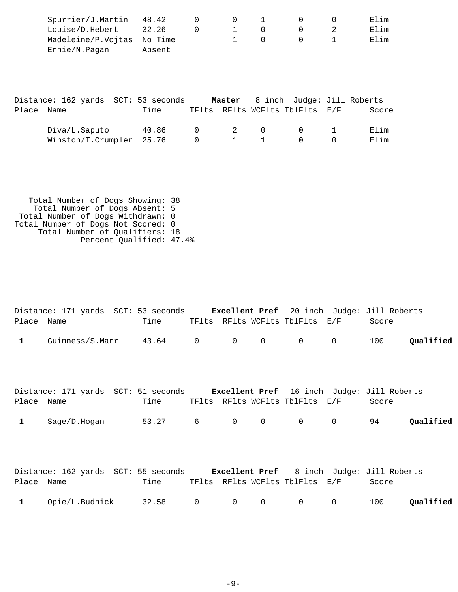| $Spurrier/J.Martin$ 48.42  |        |         |           |  | Elim |
|----------------------------|--------|---------|-----------|--|------|
| Louise/D.Hebert            | 32.26  | $\perp$ | $\bigcap$ |  | Elim |
| Madeleine/P.Vojtas No Time |        |         |           |  | Flim |
| Ernie/N.Paqan              | Absent |         |           |  |      |

|       | Distance: 162 yards SCT: 53 seconds |       |           |     | <b>Master</b> 8 inch Judge: Jill Roberts |       |
|-------|-------------------------------------|-------|-----------|-----|------------------------------------------|-------|
| Place | Name                                | Time  |           |     | TFlts RFlts WCFlts TblFlts E/F           | Score |
|       | Diva/L.Saputo                       | 40.86 | $\bigcap$ | 2 0 | $\cap$ 1                                 | Elim  |
|       | Winston/T.Crumpler 25.76            |       | $\bigcap$ | 1 1 | $\left( \right)$                         | Elim  |

 Total Number of Dogs Showing: 38 Total Number of Dogs Absent: 5 Total Number of Dogs Withdrawn: 0 Total Number of Dogs Not Scored: 0 Total Number of Qualifiers: 18 Percent Qualified: 47.4%

|              |                 | Distance: 171 yards SCT: 53 seconds |  |                                | <b>Excellent Pref</b> 20 inch Judge: Jill Roberts |           |
|--------------|-----------------|-------------------------------------|--|--------------------------------|---------------------------------------------------|-----------|
| Place Name   |                 | Time                                |  | TFlts RFlts WCFlts TblFlts E/F | Score                                             |           |
| $\mathbf{1}$ | Guinness/S.Marr | $43.64$ 0 0 0 0 0                   |  |                                | 100                                               | Oualified |

|              |              | Distance: 171 yards SCT: 51 seconds |  |                                | <b>Excellent Pref</b> 16 inch Judge: Jill Roberts |           |
|--------------|--------------|-------------------------------------|--|--------------------------------|---------------------------------------------------|-----------|
| Place Name   |              | Time                                |  | TFlts RFlts WCFlts TblFlts E/F | Score                                             |           |
| $\mathbf{1}$ | Saqe/D.Hoqan | 53.27 6 0 0 0 0 94                  |  |                                |                                                   | Qualified |

|            | Distance: 162 yards SCT: 55 seconds |      |  |                                | <b>Excellent Pref</b> 8 inch Judge: Jill Roberts |           |
|------------|-------------------------------------|------|--|--------------------------------|--------------------------------------------------|-----------|
| Place Name |                                     | Time |  | TFlts RFlts WCFlts TblFlts E/F | Score                                            |           |
|            | 1 Opie/L.Budnick 32.58 0 0 0 0 0    |      |  |                                | 100                                              | Qualified |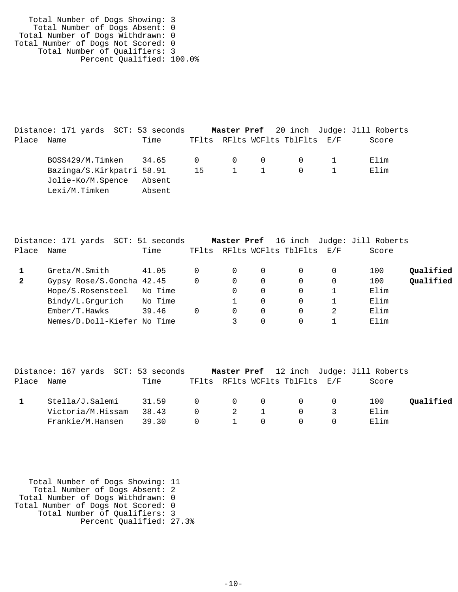Total Number of Dogs Showing: 3 Total Number of Dogs Absent: 0 Total Number of Dogs Withdrawn: 0 Total Number of Dogs Not Scored: 0 Total Number of Qualifiers: 3 Percent Qualified: 100.0%

|            | Distance: 171 yards  SCT: 53 seconds |        |    |                     |                                         | <b>Master Pref</b> 20 inch Judge: Jill Roberts |
|------------|--------------------------------------|--------|----|---------------------|-----------------------------------------|------------------------------------------------|
| Place Name |                                      | Time   |    |                     | TFlts RFlts WCFlts TblFlts E/F          | Score                                          |
|            | BOSS429/M.Timken 34.65               |        |    |                     | $0 \qquad 0 \qquad 0 \qquad 0 \qquad 1$ | Elim                                           |
|            | Bazinga/S.Kirkpatri 58.91            |        | 15 | $1 \quad 1 \quad 0$ |                                         | Elim                                           |
|            | Jolie-Ko/M.Spence                    | Absent |    |                     |                                         |                                                |
|            | Lexi/M.Timken                        | Absent |    |                     |                                         |                                                |

|              | Distance: 171 yards SCT: 51 seconds |         |          | Master Pref |   |                          |   | 16 inch Judge: Jill Roberts |           |
|--------------|-------------------------------------|---------|----------|-------------|---|--------------------------|---|-----------------------------|-----------|
| Place        | Name                                | Time    | TFlts    |             |   | RFlts WCFlts TblFlts E/F |   | Score                       |           |
|              | Greta/M.Smith                       | 41.05   | $\Omega$ | $\Omega$    | 0 | 0                        | 0 | 100                         | Qualified |
| $\mathbf{2}$ | Gypsy Rose/S.Goncha 42.45           |         | $\Omega$ | 0           | 0 | 0                        | 0 | 100                         | Qualified |
|              | Hope/S.Rosensteel                   | No Time |          | $\Omega$    | 0 | 0                        |   | Elim                        |           |
|              | Bindy/L.Grgurich No Time            |         |          |             | 0 | 0                        |   | Elim                        |           |
|              | Ember/T.Hawks                       | 39.46   | 0        | 0           | 0 | 0                        | 2 | Elim                        |           |
|              | Nemes/D.Doll-Kiefer No Time         |         |          |             | 0 | 0                        |   | Elim                        |           |

|       | Distance: 167 yards SCT: 53 seconds |       |                |                |                                                 | Master Pref 12 inch Judge: Jill Roberts |           |
|-------|-------------------------------------|-------|----------------|----------------|-------------------------------------------------|-----------------------------------------|-----------|
| Place | Name                                | Time  |                |                | TFlts RFlts WCFlts TblFlts E/F                  | Score                                   |           |
|       | Stella/J.Salemi                     | 31.59 |                |                | $\begin{matrix} 0 & 0 & 0 & 0 & 0 \end{matrix}$ | 100                                     | Oualified |
|       | Victoria/M.Hissam                   | 38.43 | $\overline{0}$ | $\overline{2}$ |                                                 | Elim                                    |           |
|       | Frankie/M.Hansen                    | 39.30 | - 0            |                |                                                 | Elim                                    |           |

| Total Number of Dogs Showing: 11   |  |
|------------------------------------|--|
| Total Number of Dogs Absent: 2     |  |
| Total Number of Dogs Withdrawn: 0  |  |
| Total Number of Dogs Not Scored: 0 |  |
| Total Number of Qualifiers: 3      |  |
| Percent Qualified: 27.3%           |  |
|                                    |  |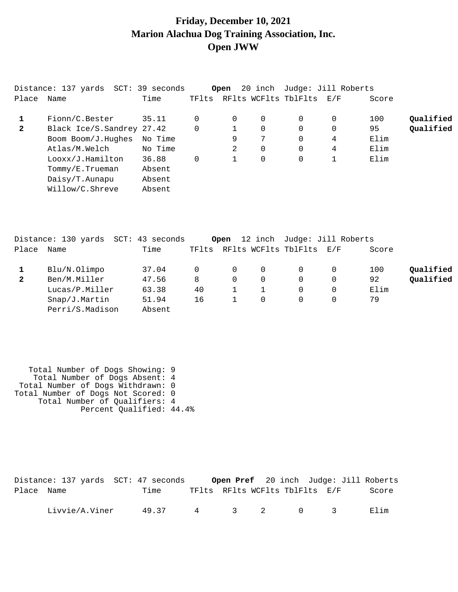#### **Friday, December 10, 2021 Marion Alachua Dog Training Association, Inc. Open JWW**

|              | Distance: 137 yards SCT: 39 seconds |         |                | Open |          |                          | 20 inch Judge: Jill Roberts |       |           |
|--------------|-------------------------------------|---------|----------------|------|----------|--------------------------|-----------------------------|-------|-----------|
| Place        | Name                                | Time    | TFlts          |      |          | RFlts WCFlts TblFlts E/F |                             | Score |           |
|              | Fionn/C.Bester                      | 35.11   |                | 0    | $\Omega$ | $\Omega$                 | 0                           | 100   | Qualified |
| $\mathbf{2}$ | Black Ice/S.Sandrey 27.42           |         | $\overline{0}$ |      | 0        | $\mathbf 0$              | 0                           | 95    | Qualified |
|              | Boom Boom/J.Hughes                  | No Time |                | 9    | 7        | 0                        | 4                           | Elim  |           |
|              | Atlas/M.Welch                       | No Time |                | 2    | $\Omega$ | 0                        | 4                           | Elim  |           |
|              | Looxx/J.Hamilton                    | 36.88   | 0              |      | 0        | 0                        |                             | Elim  |           |
|              | Tommy/E.Trueman                     | Absent  |                |      |          |                          |                             |       |           |
|              | Daisy/T.Aunapu                      | Absent  |                |      |          |                          |                             |       |           |
|              | Willow/C.Shreve                     | Absent  |                |      |          |                          |                             |       |           |

|              | Distance: 130 yards SCT: 43 seconds |        |              | Open     |          | 12 inch Judge: Jill Roberts |   |       |           |
|--------------|-------------------------------------|--------|--------------|----------|----------|-----------------------------|---|-------|-----------|
| Place        | Name                                | Time   | TFlts        |          |          | RFlts WCFlts TblFlts E/F    |   | Score |           |
|              | Blu/N.Olimpo                        | 37.04  | <sup>n</sup> | $\Omega$ | $\Omega$ |                             | 0 | 100   | Qualified |
| $\mathbf{2}$ | Ben/M.Miller                        | 47.56  | 8            | 0        | 0        | $\Omega$                    | 0 | 92    | Qualified |
|              | Lucas/P.Miller                      | 63.38  | 40           |          |          | $\Omega$                    | 0 | Elim  |           |
|              | Snap/J.Martin                       | 51.94  | 16           |          | 0        | 0                           | 0 | 79    |           |
|              | Perri/S.Madison                     | Absent |              |          |          |                             |   |       |           |

 Total Number of Dogs Showing: 9 Total Number of Dogs Absent: 4 Total Number of Dogs Withdrawn: 0 Total Number of Dogs Not Scored: 0 Total Number of Qualifiers: 4 Percent Qualified: 44.4%

|            | Distance: 137 yards SCT: 47 seconds |       |                                |  |           | <b>Open Pref</b> 20 inch Judge: Jill Roberts |
|------------|-------------------------------------|-------|--------------------------------|--|-----------|----------------------------------------------|
| Place Name |                                     | Time  | TFlts RFlts WCFlts TblFlts E/F |  |           | Score                                        |
|            | Livvie/A.Viner                      | 49.37 |                                |  | 4 3 2 0 3 | Elim                                         |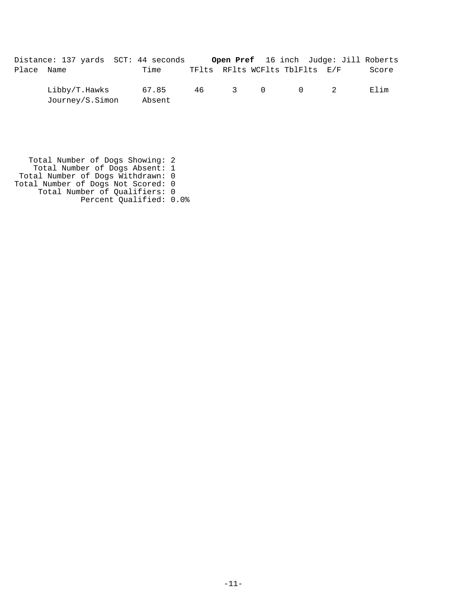|            | Distance: 137 yards SCT: 44 seconds | Open Pref 16 inch Judge: Jill Roberts |  |  |       |
|------------|-------------------------------------|---------------------------------------|--|--|-------|
| Place Name | Time                                | TFlts RFlts WCFlts TblFlts E/F        |  |  | Score |

 Libby/T.Hawks 67.85 46 3 0 0 2 Elim Journey/S.Simon Absent

 Total Number of Dogs Showing: 2 Total Number of Dogs Absent: 1 Total Number of Dogs Withdrawn: 0 Total Number of Dogs Not Scored: 0 Total Number of Qualifiers: 0 Percent Qualified: 0.0%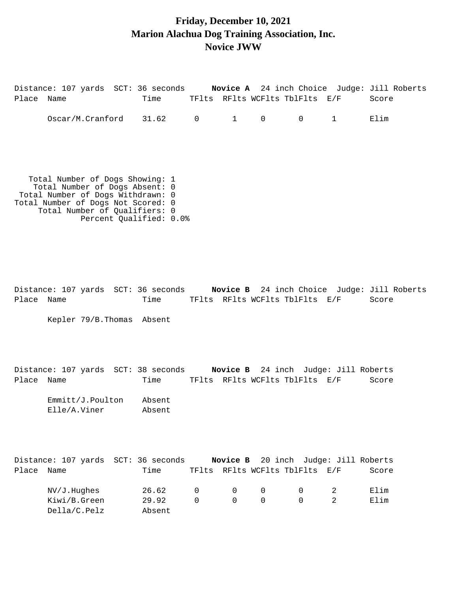#### **Friday, December 10, 2021 Marion Alachua Dog Training Association, Inc. Novice JWW**

Distance: 107 yards SCT: 36 seconds **Novice A** 24 inch Choice Judge: Jill Roberts Place Name Time TFlts RFlts WCFlts TblFlts E/F Score Oscar/M.Cranford 31.62 0 1 0 0 1 Elim Total Number of Dogs Showing: 1 Total Number of Dogs Absent: 0 Total Number of Dogs Withdrawn: 0 Total Number of Dogs Not Scored: 0 Total Number of Qualifiers: 0 Percent Qualified: 0.0% Distance: 107 yards SCT: 36 seconds **Novice B** 24 inch Choice Judge: Jill Roberts Place Name Time TFlts RFlts WCFlts TblFlts E/F Score Kepler 79/B.Thomas Absent Distance: 107 yards SCT: 38 seconds **Novice B** 24 inch Judge: Jill Roberts Place Name Time TFlts RFlts WCFlts TblFlts E/F Score Emmitt/J.Poulton Absent Elle/A.Viner Absent Distance: 107 yards SCT: 36 seconds **Novice B** 20 inch Judge: Jill Roberts Place Name Time TFlts RFlts WCFlts TblFlts E/F Score NV/J.Hughes 26.62 0 0 0 0 2 Elim Kiwi/B.Green 29.92 0 0 0 0 2 Elim Della/C.Pelz Absent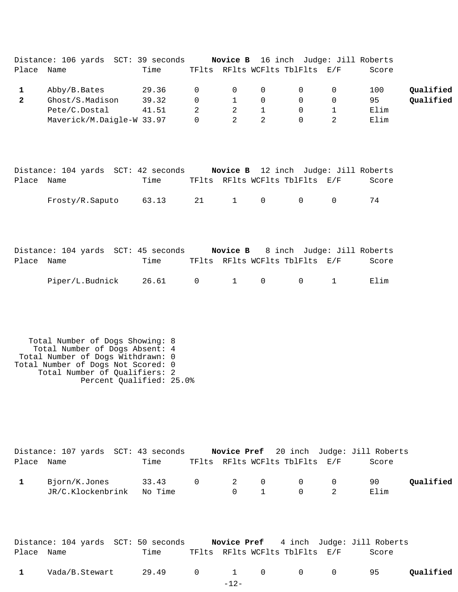|       | Distance: 106 yards SCT: 39 seconds |       |   | Novice B       |          | 16 inch Judge: Jill Roberts    |       |           |
|-------|-------------------------------------|-------|---|----------------|----------|--------------------------------|-------|-----------|
| Place | Name                                | Time  |   |                |          | TFlts RFlts WCFlts TblFlts E/F | Score |           |
|       | Abby/B.Bates                        | 29.36 |   | $\overline{0}$ | $\Omega$ |                                | 100   | Qualified |
|       | Ghost/S.Madison                     | 39.32 |   |                | $\Omega$ |                                | 95    | Oualified |
|       | Pete/C.Dostal                       | 41.51 | 2 | 2              |          |                                | Elim  |           |
|       | Maverick/M.Daigle-W 33.97           |       |   |                |          |                                | Elim  |           |

|            | Distance: 104 yards SCT: 42 seconds |       |     |  | <b>Novice B</b> 12 inch Judge: Jill Roberts |       |
|------------|-------------------------------------|-------|-----|--|---------------------------------------------|-------|
| Place Name |                                     | Time  |     |  | TFlts RFlts WCFlts TblFlts E/F              | Score |
|            | Frosty/R.Saputo                     | 63.13 | 2.1 |  | 1 0 0                                       | 74    |

|            | Distance: 104 yards SCT: 45 seconds |      |  |                                         | <b>Novice B</b> 8 inch Judge: Jill Roberts |       |
|------------|-------------------------------------|------|--|-----------------------------------------|--------------------------------------------|-------|
| Place Name |                                     | Time |  | TFlts RFlts WCFlts TblFlts E/F          |                                            | Score |
|            | Piper/L.Budnick 26.61               |      |  | $0 \qquad 1 \qquad 0 \qquad 0 \qquad 1$ |                                            | Elim  |

 Total Number of Dogs Showing: 8 Total Number of Dogs Absent: 4 Total Number of Dogs Withdrawn: 0 Total Number of Dogs Not Scored: 0 Total Number of Qualifiers: 2 Percent Qualified: 25.0%

|              | Distance: 107 yards  SCT: 43 seconds |                 |  |              |                                                    | <b>Novice Pref</b> 20 inch Judge: Jill Roberts |           |
|--------------|--------------------------------------|-----------------|--|--------------|----------------------------------------------------|------------------------------------------------|-----------|
| Place Name   |                                      | Time            |  |              | TFlts RFlts WCFlts TblFlts E/F                     | Score                                          |           |
| $\mathbf{1}$ | Bjorn/K.Jones                        | 33.43 0 2 0 0 0 |  |              |                                                    | 90.                                            | Oualified |
|              | JR/C.Klockenbrink No Time            |                 |  | $0 \qquad 1$ | $\begin{array}{ccc} & & 0 & \quad & 2 \end{array}$ | Elim                                           |           |

| Distance: 104 yards SCT: 50 seconds |      | <b>Novice Pref</b> 4 inch Judge: Jill Roberts |  |       |  |
|-------------------------------------|------|-----------------------------------------------|--|-------|--|
| Place Name                          | Time | TFlts RFlts WCFlts TblFlts E/F                |  | Score |  |

| 1 Vada/B.Stewart 29.49 0 1 0 0 0 95 Qualified |  |  |  |  |
|-----------------------------------------------|--|--|--|--|
|                                               |  |  |  |  |